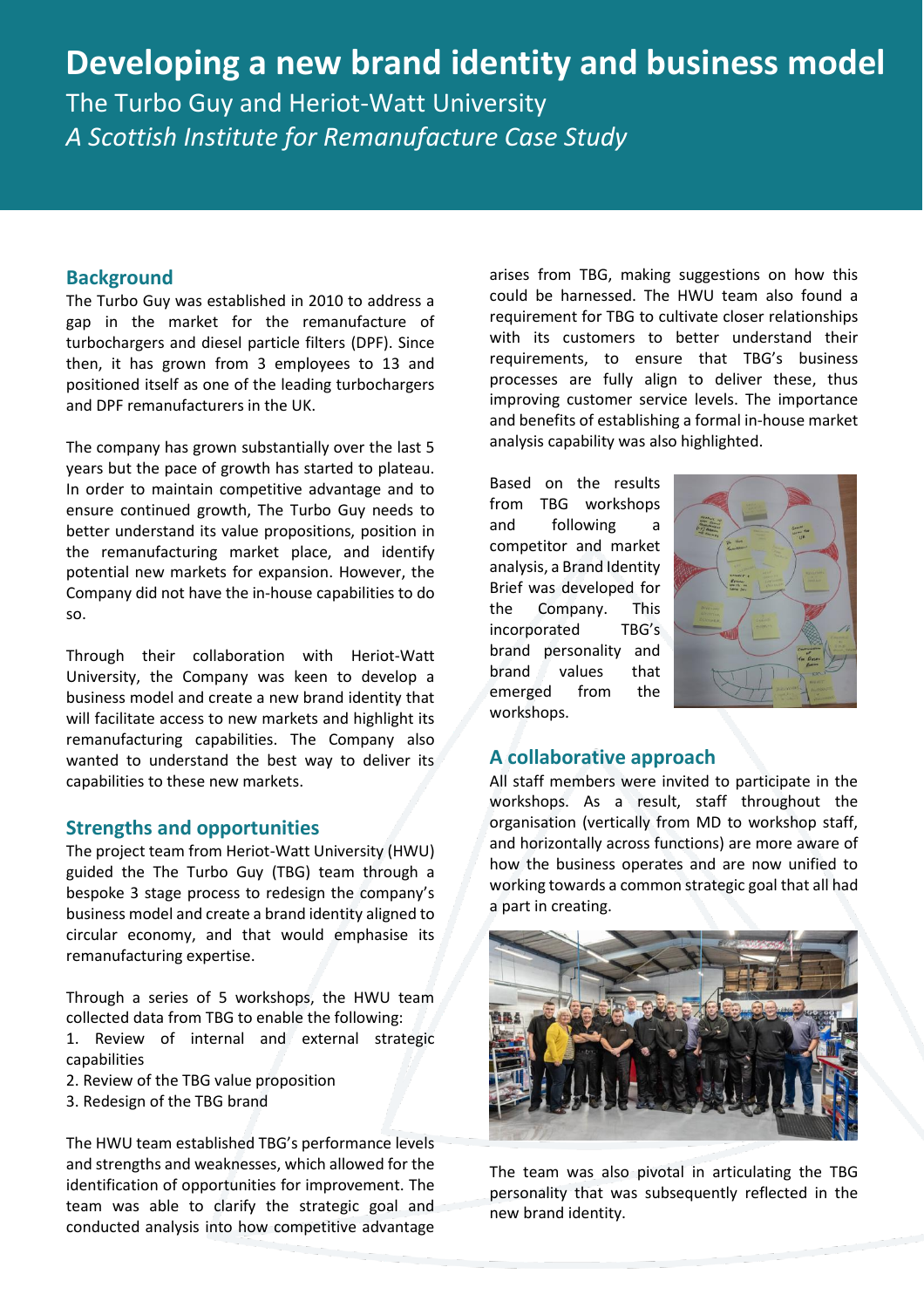# **Developing a new brand identity and business model**

The Turbo Guy and Heriot-Watt University *A Scottish Institute for Remanufacture Case Study* 

### **Background**

The Turbo Guy was established in 2010 to address a gap in the market for the remanufacture of turbochargers and diesel particle filters (DPF). Since then, it has grown from 3 employees to 13 and positioned itself as one of the leading turbochargers and DPF remanufacturers in the UK.

The company has grown substantially over the last 5 years but the pace of growth has started to plateau. In order to maintain competitive advantage and to ensure continued growth, The Turbo Guy needs to better understand its value propositions, position in the remanufacturing market place, and identify potential new markets for expansion. However, the Company did not have the in-house capabilities to do so.

Through their collaboration with Heriot-Watt University, the Company was keen to develop a business model and create a new brand identity that will facilitate access to new markets and highlight its remanufacturing capabilities. The Company also wanted to understand the best way to deliver its capabilities to these new markets.

#### **Strengths and opportunities**

The project team from Heriot-Watt University (HWU) guided the The Turbo Guy (TBG) team through a bespoke 3 stage process to redesign the company's business model and create a brand identity aligned to circular economy, and that would emphasise its remanufacturing expertise.

Through a series of 5 workshops, the HWU team collected data from TBG to enable the following: 1. Review of internal and external strategic

- capabilities
- 2. Review of the TBG value proposition
- 3. Redesign of the TBG brand

The HWU team established TBG's performance levels and strengths and weaknesses, which allowed for the identification of opportunities for improvement. The team was able to clarify the strategic goal and conducted analysis into how competitive advantage

arises from TBG, making suggestions on how this could be harnessed. The HWU team also found a requirement for TBG to cultivate closer relationships with its customers to better understand their requirements, to ensure that TBG's business processes are fully align to deliver these, thus improving customer service levels. The importance and benefits of establishing a formal in-house market analysis capability was also highlighted.

Based on the results from TBG workshops and following a competitor and market analysis, a Brand Identity Brief was developed for the Company. This incorporated TBG's brand personality and brand values that emerged from the workshops.



## **A collaborative approach**

All staff members were invited to participate in the workshops. As a result, staff throughout the organisation (vertically from MD to workshop staff, and horizontally across functions) are more aware of how the business operates and are now unified to working towards a common strategic goal that all had a part in creating.



The team was also pivotal in articulating the TBG personality that was subsequently reflected in the new brand identity.